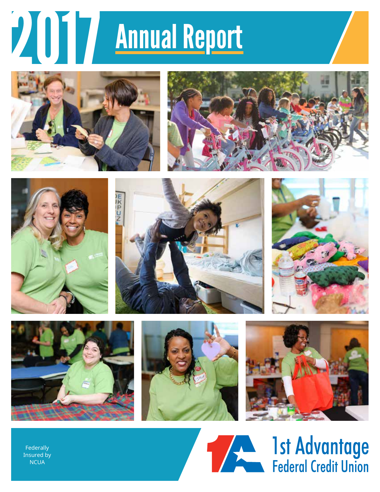# 2017 Annual Report

















Federally Insured by **NCUA** 

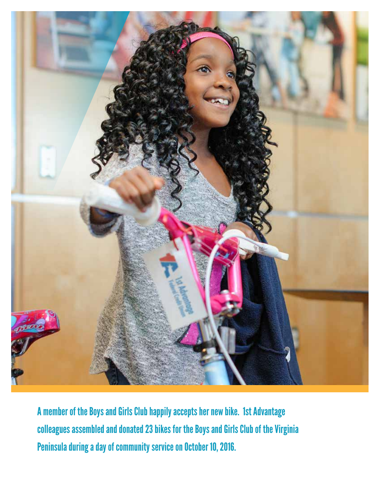

A member of the Boys and Girls Club happily accepts her new bike. 1st Advantage colleagues assembled and donated 23 bikes for the Boys and Girls Club of the Virginia Peninsula during a day of community service on October 10, 2016.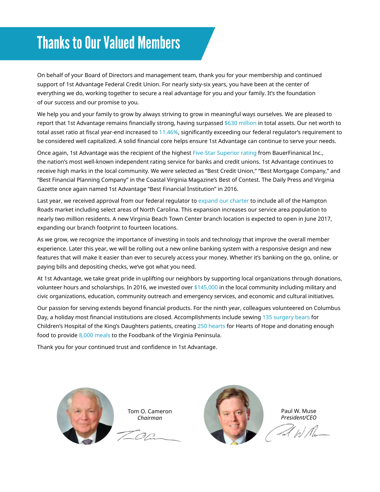# Thanks to Our Valued Members

On behalf of your Board of Directors and management team, thank you for your membership and continued support of 1st Advantage Federal Credit Union. For nearly sixty-six years, you have been at the center of everything we do, working together to secure a real advantage for you and your family. It's the foundation of our success and our promise to you.

We help you and your family to grow by always striving to grow in meaningful ways ourselves. We are pleased to report that 1st Advantage remains financially strong, having surpassed \$630 million in total assets. Our net worth to total asset ratio at fiscal year-end increased to 11.46%, significantly exceeding our federal regulator's requirement to be considered well capitalized. A solid financial core helps ensure 1st Advantage can continue to serve your needs.

Once again, 1st Advantage was the recipient of the highest Five-Star Superior rating from BauerFinanical Inc., the nation's most well-known independent rating service for banks and credit unions. 1st Advantage continues to receive high marks in the local community. We were selected as "Best Credit Union," "Best Mortgage Company," and "Best Financial Planning Company" in the Coastal Virginia Magazine's Best of Contest. The Daily Press and Virginia Gazette once again named 1st Advantage "Best Financial Institution" in 2016.

Last year, we received approval from our federal regulator to expand our charter to include all of the Hampton Roads market including select areas of North Carolina. This expansion increases our service area population to nearly two million residents. A new Virginia Beach Town Center branch location is expected to open in June 2017, expanding our branch footprint to fourteen locations.

As we grow, we recognize the importance of investing in tools and technology that improve the overall member experience. Later this year, we will be rolling out a new online banking system with a responsive design and new features that will make it easier than ever to securely access your money. Whether it's banking on the go, online, or paying bills and depositing checks, we've got what you need.

At 1st Advantage, we take great pride in uplifting our neighbors by supporting local organizations through donations, volunteer hours and scholarships. In 2016, we invested over \$145,000 in the local community including military and civic organizations, education, community outreach and emergency services, and economic and cultural initiatives.

Our passion for serving extends beyond financial products. For the ninth year, colleagues volunteered on Columbus Day, a holiday most financial institutions are closed. Accomplishments include sewing 135 surgery bears for Children's Hospital of the King's Daughters patients, creating 250 hearts for Hearts of Hope and donating enough food to provide 8,000 meals to the Foodbank of the Virginia Peninsula.

Thank you for your continued trust and confidence in 1st Advantage.



Tom O. Cameron *Chairman* 



Paul W. Muse *President/CEO*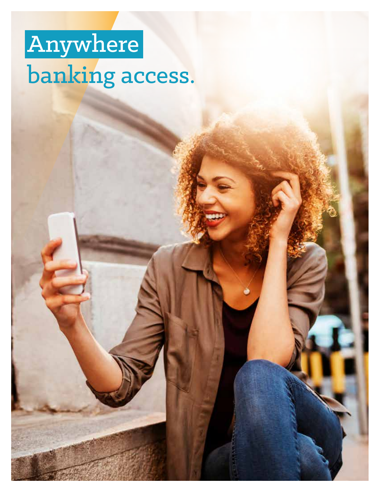# Anywhere banking access.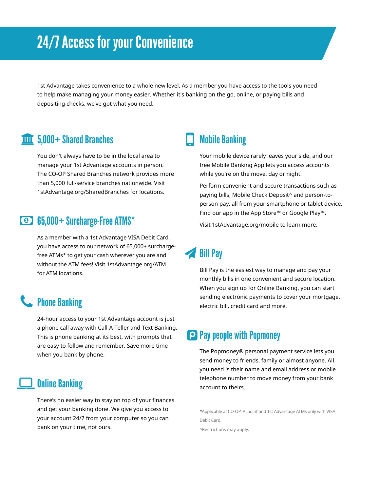# 24/7 Access for your Convenience

1st Advantage takes convenience to a whole new level. As a member you have access to the tools you need to help make managing your money easier. Whether it's banking on the go, online, or paying bills and depositing checks, we've got what you need.

## 5,000+ Shared Branches

You don't always have to be in the local area to manage your 1st Advantage accounts in person. The CO-OP Shared Branches network provides more than 5,000 full-service branches nationwide. Visit [1stAdvantage.org/SharedBranches](https://1stAdvantage.org/SharedBranches) for locations.

## 65,000+ Surcharge-Free ATMS\*

As a member with a 1st Advantage VISA Debit Card, you have access to our network of 65,000+ surchargefree ATMs\* to get your cash wherever you are and without the ATM fees! Visit [1stAdvantage.org/ATM](https://1stAdvantage.org/ATM) for ATM locations.

# **L** Phone Banking

24-hour access to your 1st Advantage account is just a phone call away with Call-A-Teller and Text Banking. This is phone banking at its best, with prompts that are easy to follow and remember. Save more time when you bank by phone.

#### Online Banking

There's no easier way to stay on top of your finances and get your banking done. We give you access to your account 24/7 from your computer so you can bank on your time, not ours.

# Mobile Banking

Your mobile device rarely leaves your side, and our free Mobile Banking App lets you access accounts while you're on the move, day or night.

Perform convenient and secure transactions such as paying bills, Mobile Check Deposit^ and person-toperson pay, all from your smartphone or tablet device. Find our app in the App Store™ or Google Play™.

Visit [1stAdvantage.org/mobile](https://1stAdvantage.org/mobile) to learn more.

# **Bill Pay**

Bill Pay is the easiest way to manage and pay your monthly bills in one convenient and secure location. When you sign up for Online Banking, you can start sending electronic payments to cover your mortgage, electric bill, credit card and more.

## **Pay people with Popmoney**

The Popmoney® personal payment service lets you send money to friends, family or almost anyone. All you need is their name and email address or mobile telephone number to move money from your bank account to theirs.

\*Applicable at CO-OP, Allpoint and 1st Advantage ATMs only with VISA Debit Card.

^Restrictions may apply.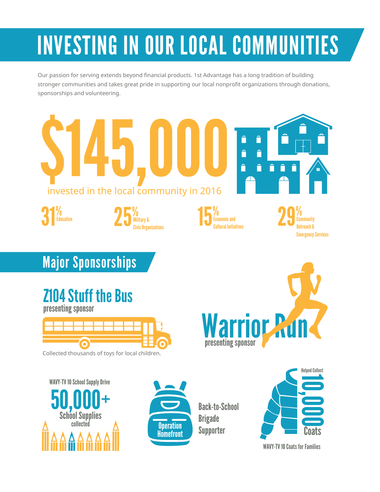# INVESTING IN OUR LOCAL COMMUNITIES

Our passion for serving extends beyond financial products. 1st Advantage has a long tradition of building stronger communities and takes great pride in supporting our local nonprofit organizations through donations, sponsorships and volunteering.



WAVY-TV 10 Coats for Families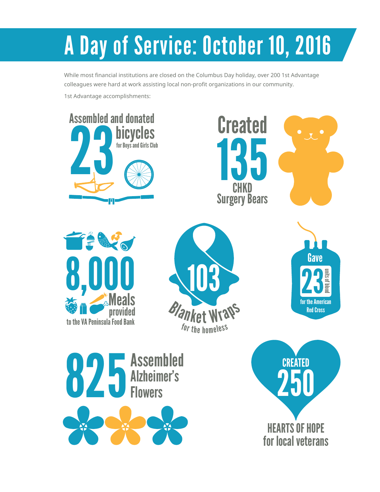# A Day of Service: October 10, 2016

While most financial institutions are closed on the Columbus Day holiday, over 200 1st Advantage colleagues were hard at work assisting local non-profit organizations in our community.

1st Advantage accomplishments:

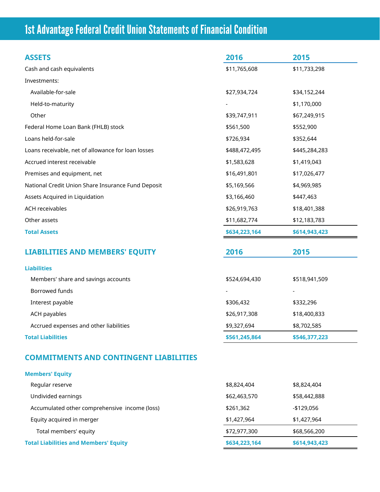# 1st Advantage Federal Credit Union Statements of Financial Condition

| <b>ASSETS</b>                                      | 2016          | 2015          |
|----------------------------------------------------|---------------|---------------|
| Cash and cash equivalents                          | \$11,765,608  | \$11,733,298  |
| Investments:                                       |               |               |
| Available-for-sale                                 | \$27,934,724  | \$34,152,244  |
| Held-to-maturity                                   |               | \$1,170,000   |
| Other                                              | \$39,747,911  | \$67,249,915  |
| Federal Home Loan Bank (FHLB) stock                | \$561,500     | \$552,900     |
| Loans held-for-sale                                | \$726,934     | \$352,644     |
| Loans receivable, net of allowance for loan losses | \$488,472,495 | \$445,284,283 |
| Accrued interest receivable                        | \$1,583,628   | \$1,419,043   |
| Premises and equipment, net                        | \$16,491,801  | \$17,026,477  |
| National Credit Union Share Insurance Fund Deposit | \$5,169,566   | \$4,969,985   |
| Assets Acquired in Liquidation                     | \$3,166,460   | \$447,463     |
| <b>ACH receivables</b>                             | \$26,919,763  | \$18,401,388  |
| Other assets                                       | \$11,682,774  | \$12,183,783  |
| <b>Total Assets</b>                                | \$634,223,164 | \$614,943,423 |
| <b>LIABILITIES AND MEMBERS' EQUITY</b>             | 2016          | 2015          |
| <b>Liabilities</b>                                 |               |               |
| Members' share and savings accounts                | \$524,694,430 | \$518,941,509 |
| Borrowed funds                                     |               |               |
| Interest payable                                   | \$306,432     | \$332,296     |
| <b>ACH payables</b>                                | \$26,917,308  | \$18,400,833  |
| Accrued expenses and other liabilities             | \$9,327,694   | \$8,702,585   |
| <b>Total Liabilities</b>                           | \$561,245,864 | \$546,377,223 |

#### **Members' Equity**

| Regular reserve                               | \$8,824,404   | \$8,824,404   |  |
|-----------------------------------------------|---------------|---------------|--|
| Undivided earnings                            | \$62,463,570  | \$58,442,888  |  |
| Accumulated other comprehensive income (loss) | \$261,362     | -\$129.056    |  |
| Equity acquired in merger                     | \$1,427,964   | \$1,427,964   |  |
| Total members' equity                         | \$72,977,300  | \$68,566,200  |  |
| <b>Total Liabilities and Members' Equity</b>  | \$634,223,164 | \$614,943,423 |  |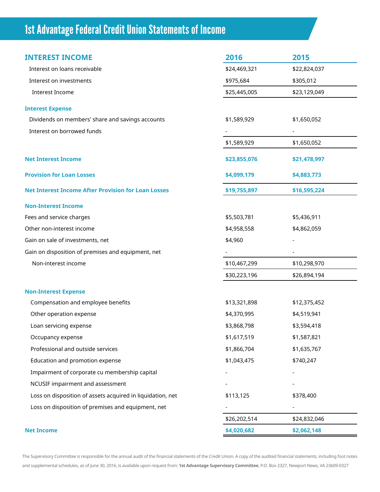# 1st Advantage Federal Credit Union Statements of Income

| <b>INTEREST INCOME</b>                                     | 2016         | 2015         |
|------------------------------------------------------------|--------------|--------------|
| Interest on loans receivable                               | \$24,469,321 | \$22,824,037 |
| Interest on investments                                    | \$975,684    | \$305,012    |
| <b>Interest Income</b>                                     | \$25,445,005 | \$23,129,049 |
| <b>Interest Expense</b>                                    |              |              |
| Dividends on members' share and savings accounts           | \$1,589,929  | \$1,650,052  |
| Interest on borrowed funds                                 |              |              |
|                                                            | \$1,589,929  | \$1,650,052  |
| <b>Net Interest Income</b>                                 | \$23,855,076 | \$21,478,997 |
| <b>Provision for Loan Losses</b>                           | \$4,099,179  | \$4,883,773  |
| <b>Net Interest Income After Provision for Loan Losses</b> | \$19,755,897 | \$16,595,224 |
| <b>Non-Interest Income</b>                                 |              |              |
| Fees and service charges                                   | \$5,503,781  | \$5,436,911  |
| Other non-interest income                                  | \$4,958,558  | \$4,862,059  |
| Gain on sale of investments, net                           | \$4,960      |              |
| Gain on disposition of premises and equipment, net         |              |              |
| Non-interest income                                        | \$10,467,299 | \$10,298,970 |
|                                                            | \$30,223,196 | \$26,894,194 |
| <b>Non-Interest Expense</b>                                |              |              |
| Compensation and employee benefits                         | \$13,321,898 | \$12,375,452 |
| Other operation expense                                    | \$4,370,995  | \$4,519,941  |
| Loan servicing expense                                     | \$3,868,798  | \$3,594,418  |
| Occupancy expense                                          | \$1,617,519  | \$1,587,821  |
| Professional and outside services                          | \$1,866,704  | \$1,635,767  |
| Education and promotion expense                            | \$1,043,475  | \$740,247    |
| Impairment of corporate cu membership capital              |              |              |
| NCUSIF impairment and assessment                           |              |              |
| Loss on disposition of assets acquired in liquidation, net | \$113,125    | \$378,400    |
| Loss on disposition of premises and equipment, net         |              |              |
|                                                            | \$26,202,514 | \$24,832,046 |
| <b>Net Income</b>                                          | \$4,020,682  | \$2,062,148  |

The Supervisory Committee is responsible for the annual audit of the financial statements of the Credit Union. A copy of the audited financial statements, including foot notes and supplemental schedules, as of June 30, 2016, is available upon request from: **1st Advantage Supervisory Committee**, P.O. Box 2327, Newport News, VA 23609-0327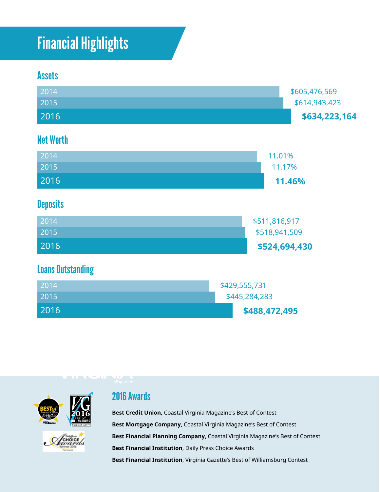# Financial Highlights

## **Assets**

2016



**\$488,472,495** 

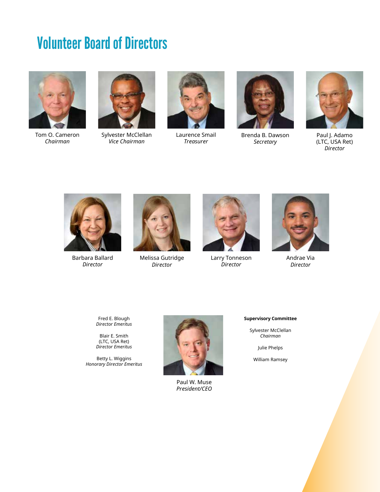# Volunteer Board of Directors





Tom O. Cameron Sylvester McClellan Laurence Smail Brenda B. Dawson Paul J. Adamo<br>Chairman Vice Chairman Treasurer Secretary (LTC, USA Ret)







*Chairman Vice Chairman Treasurer Secretary* (LTC, USA Ret) *Director* 



Barbara Ballard Melissa Gutridge Larry Tonneson Andrae Via



*Director Director Director Director* 



![](_page_10_Picture_17.jpeg)

Fred E. Blough *Director Emeritus* 

Blair E. Smith (LTC, USA Ret) *Director Emeritus* 

Betty L. Wiggins *Honorary Director Emeritus* 

![](_page_10_Picture_22.jpeg)

Paul W. Muse *President/CEO* 

#### **Supervisory Committee**

Sylvester McClellan *Chairman* 

Julie Phelps

William Ramsey